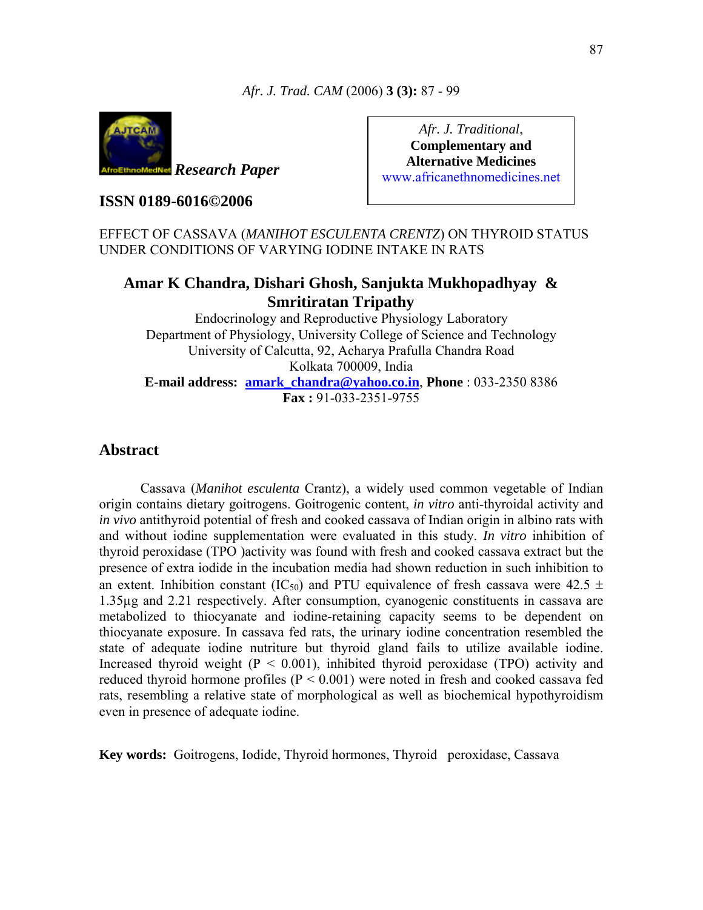

*Research Paper*

**ISSN 0189-6016©2006** 

*Afr. J. Traditional*, **Complementary and Alternative Medicines**  www.africanethnomedicines.net

# EFFECT OF CASSAVA (*MANIHOT ESCULENTA CRENTZ*) ON THYROID STATUS UNDER CONDITIONS OF VARYING IODINE INTAKE IN RATS

# **Amar K Chandra, Dishari Ghosh, Sanjukta Mukhopadhyay & Smritiratan Tripathy**

Endocrinology and Reproductive Physiology Laboratory Department of Physiology, University College of Science and Technology University of Calcutta, 92, Acharya Prafulla Chandra Road Kolkata 700009, India **E-mail address: amark\_chandra@yahoo.co.in**, **Phone** : 033-2350 8386 **Fax :** 91-033-2351-9755

# **Abstract**

 Cassava (*Manihot esculenta* Crantz), a widely used common vegetable of Indian origin contains dietary goitrogens. Goitrogenic content, *in vitro* anti-thyroidal activity and *in vivo* antithyroid potential of fresh and cooked cassava of Indian origin in albino rats with and without iodine supplementation were evaluated in this study. *In vitro* inhibition of thyroid peroxidase (TPO )activity was found with fresh and cooked cassava extract but the presence of extra iodide in the incubation media had shown reduction in such inhibition to an extent. Inhibition constant (IC<sub>50</sub>) and PTU equivalence of fresh cassava were 42.5  $\pm$ 1.35µg and 2.21 respectively. After consumption, cyanogenic constituents in cassava are metabolized to thiocyanate and iodine-retaining capacity seems to be dependent on thiocyanate exposure. In cassava fed rats, the urinary iodine concentration resembled the state of adequate iodine nutriture but thyroid gland fails to utilize available iodine. Increased thyroid weight  $(P < 0.001)$ , inhibited thyroid peroxidase (TPO) activity and reduced thyroid hormone profiles (P < 0.001) were noted in fresh and cooked cassava fed rats, resembling a relative state of morphological as well as biochemical hypothyroidism even in presence of adequate iodine.

**Key words:** Goitrogens, Iodide, Thyroid hormones, Thyroid peroxidase, Cassava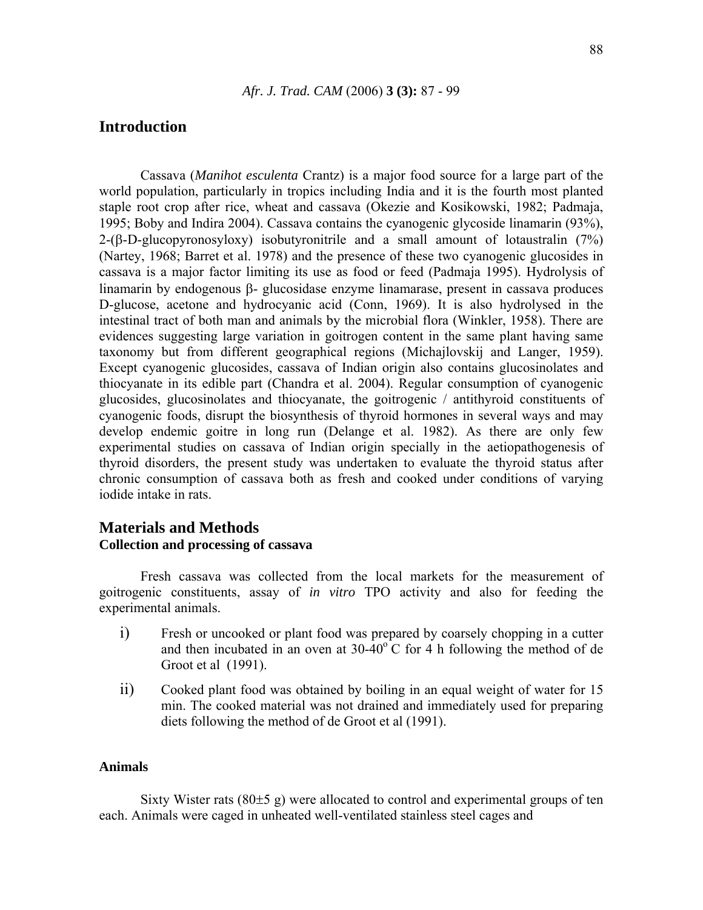# **Introduction**

Cassava (*Manihot esculenta* Crantz) is a major food source for a large part of the world population, particularly in tropics including India and it is the fourth most planted staple root crop after rice, wheat and cassava (Okezie and Kosikowski, 1982; Padmaja, 1995; Boby and Indira 2004). Cassava contains the cyanogenic glycoside linamarin (93%), 2-(β-D-glucopyronosyloxy) isobutyronitrile and a small amount of lotaustralin (7%) (Nartey, 1968; Barret et al. 1978) and the presence of these two cyanogenic glucosides in cassava is a major factor limiting its use as food or feed (Padmaja 1995). Hydrolysis of linamarin by endogenous β- glucosidase enzyme linamarase, present in cassava produces D-glucose, acetone and hydrocyanic acid (Conn, 1969). It is also hydrolysed in the intestinal tract of both man and animals by the microbial flora (Winkler, 1958). There are evidences suggesting large variation in goitrogen content in the same plant having same taxonomy but from different geographical regions (Michajlovskij and Langer, 1959). Except cyanogenic glucosides, cassava of Indian origin also contains glucosinolates and thiocyanate in its edible part (Chandra et al. 2004). Regular consumption of cyanogenic glucosides, glucosinolates and thiocyanate, the goitrogenic / antithyroid constituents of cyanogenic foods, disrupt the biosynthesis of thyroid hormones in several ways and may develop endemic goitre in long run (Delange et al. 1982). As there are only few experimental studies on cassava of Indian origin specially in the aetiopathogenesis of thyroid disorders, the present study was undertaken to evaluate the thyroid status after chronic consumption of cassava both as fresh and cooked under conditions of varying iodide intake in rats.

# **Materials and Methods Collection and processing of cassava**

Fresh cassava was collected from the local markets for the measurement of goitrogenic constituents, assay of *in vitro* TPO activity and also for feeding the experimental animals.

- i) Fresh or uncooked or plant food was prepared by coarsely chopping in a cutter and then incubated in an oven at  $30-40^{\circ}$ C for 4 h following the method of de Groot et al (1991).
- ii) Cooked plant food was obtained by boiling in an equal weight of water for 15 min. The cooked material was not drained and immediately used for preparing diets following the method of de Groot et al (1991).

## **Animals**

Sixty Wister rats  $(80±5 g)$  were allocated to control and experimental groups of ten each. Animals were caged in unheated well-ventilated stainless steel cages and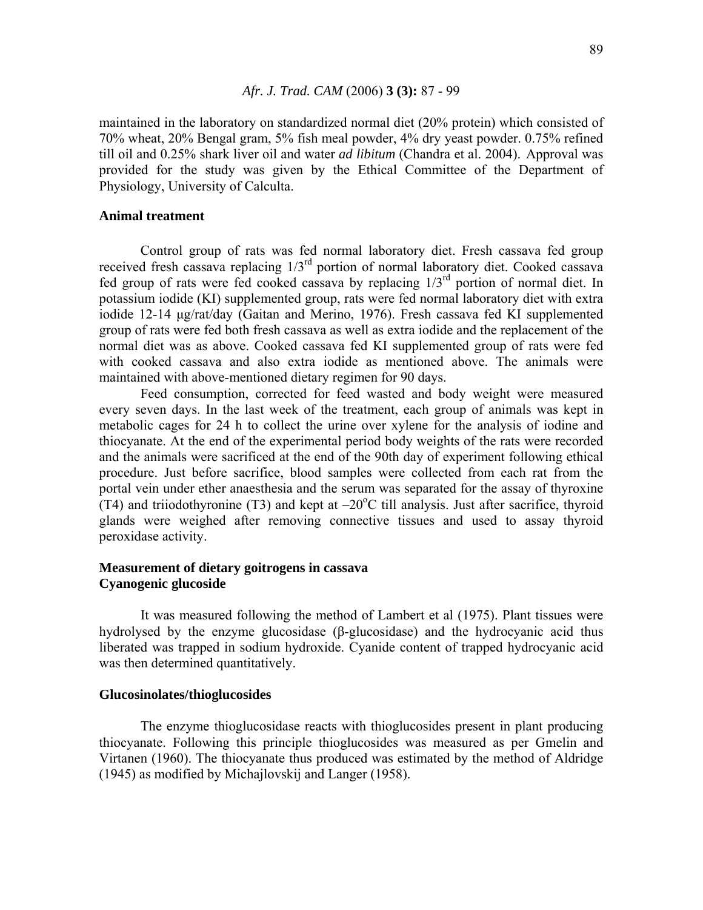maintained in the laboratory on standardized normal diet (20% protein) which consisted of 70% wheat, 20% Bengal gram, 5% fish meal powder, 4% dry yeast powder. 0.75% refined till oil and 0.25% shark liver oil and water *ad libitum* (Chandra et al. 2004). Approval was provided for the study was given by the Ethical Committee of the Department of Physiology, University of Calculta.

## **Animal treatment**

Control group of rats was fed normal laboratory diet. Fresh cassava fed group received fresh cassava replacing 1/3rd portion of normal laboratory diet. Cooked cassava fed group of rats were fed cooked cassava by replacing 1/3rd portion of normal diet. In potassium iodide (KI) supplemented group, rats were fed normal laboratory diet with extra iodide 12-14 µg/rat/day (Gaitan and Merino, 1976). Fresh cassava fed KI supplemented group of rats were fed both fresh cassava as well as extra iodide and the replacement of the normal diet was as above. Cooked cassava fed KI supplemented group of rats were fed with cooked cassava and also extra iodide as mentioned above. The animals were maintained with above-mentioned dietary regimen for 90 days.

Feed consumption, corrected for feed wasted and body weight were measured every seven days. In the last week of the treatment, each group of animals was kept in metabolic cages for 24 h to collect the urine over xylene for the analysis of iodine and thiocyanate. At the end of the experimental period body weights of the rats were recorded and the animals were sacrificed at the end of the 90th day of experiment following ethical procedure. Just before sacrifice, blood samples were collected from each rat from the portal vein under ether anaesthesia and the serum was separated for the assay of thyroxine  $(T4)$  and triiodothyronine (T3) and kept at  $-20^{\circ}$ C till analysis. Just after sacrifice, thyroid glands were weighed after removing connective tissues and used to assay thyroid peroxidase activity.

# **Measurement of dietary goitrogens in cassava Cyanogenic glucoside**

It was measured following the method of Lambert et al (1975). Plant tissues were hydrolysed by the enzyme glucosidase (β-glucosidase) and the hydrocyanic acid thus liberated was trapped in sodium hydroxide. Cyanide content of trapped hydrocyanic acid was then determined quantitatively.

#### **Glucosinolates/thioglucosides**

The enzyme thioglucosidase reacts with thioglucosides present in plant producing thiocyanate. Following this principle thioglucosides was measured as per Gmelin and Virtanen (1960). The thiocyanate thus produced was estimated by the method of Aldridge (1945) as modified by Michajlovskij and Langer (1958).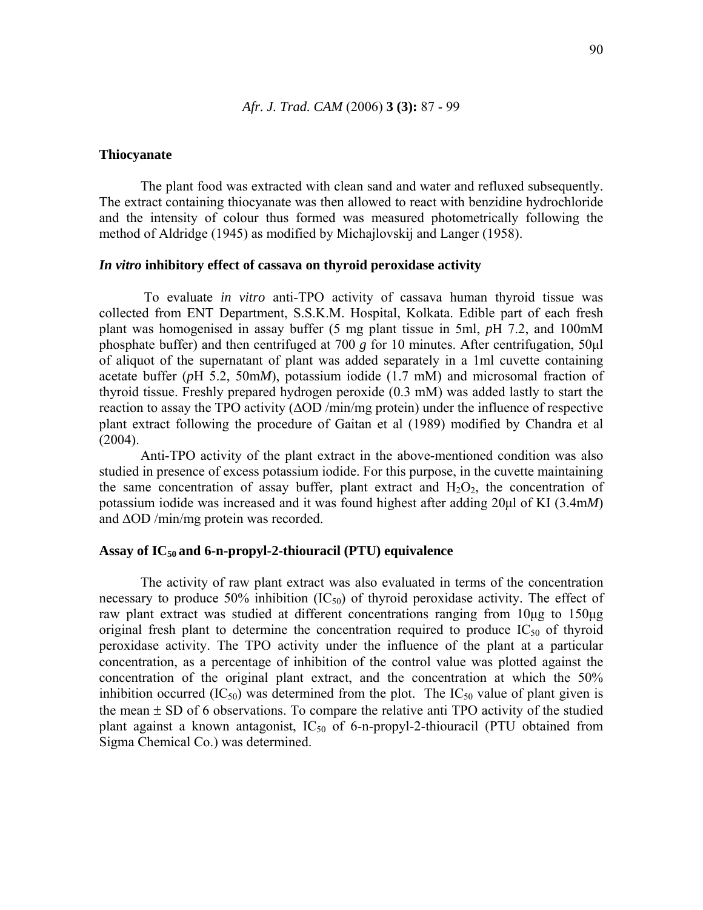#### **Thiocyanate**

The plant food was extracted with clean sand and water and refluxed subsequently. The extract containing thiocyanate was then allowed to react with benzidine hydrochloride and the intensity of colour thus formed was measured photometrically following the method of Aldridge (1945) as modified by Michajlovskij and Langer (1958).

## *In vitro* **inhibitory effect of cassava on thyroid peroxidase activity**

 To evaluate *in vitro* anti-TPO activity of cassava human thyroid tissue was collected from ENT Department, S.S.K.M. Hospital, Kolkata. Edible part of each fresh plant was homogenised in assay buffer (5 mg plant tissue in 5ml, *p*H 7.2, and 100mM phosphate buffer) and then centrifuged at 700 *g* for 10 minutes. After centrifugation, 50µl of aliquot of the supernatant of plant was added separately in a 1ml cuvette containing acetate buffer (*p*H 5.2, 50m*M*), potassium iodide (1.7 mM) and microsomal fraction of thyroid tissue. Freshly prepared hydrogen peroxide (0.3 mM) was added lastly to start the reaction to assay the TPO activity (∆OD /min/mg protein) under the influence of respective plant extract following the procedure of Gaitan et al (1989) modified by Chandra et al (2004).

 Anti-TPO activity of the plant extract in the above-mentioned condition was also studied in presence of excess potassium iodide. For this purpose, in the cuvette maintaining the same concentration of assay buffer, plant extract and  $H_2O_2$ , the concentration of potassium iodide was increased and it was found highest after adding 20µl of KI (3.4m*M*) and ∆OD /min/mg protein was recorded.

## **Assay of IC50 and 6-n-propyl-2-thiouracil (PTU) equivalence**

The activity of raw plant extract was also evaluated in terms of the concentration necessary to produce 50% inhibition  $(IC_{50})$  of thyroid peroxidase activity. The effect of raw plant extract was studied at different concentrations ranging from 10µg to 150µg original fresh plant to determine the concentration required to produce  $IC_{50}$  of thyroid peroxidase activity. The TPO activity under the influence of the plant at a particular concentration, as a percentage of inhibition of the control value was plotted against the concentration of the original plant extract, and the concentration at which the 50% inhibition occurred  $(IC_{50})$  was determined from the plot. The  $IC_{50}$  value of plant given is the mean  $\pm$  SD of 6 observations. To compare the relative anti TPO activity of the studied plant against a known antagonist,  $IC_{50}$  of 6-n-propyl-2-thiouracil (PTU obtained from Sigma Chemical Co.) was determined.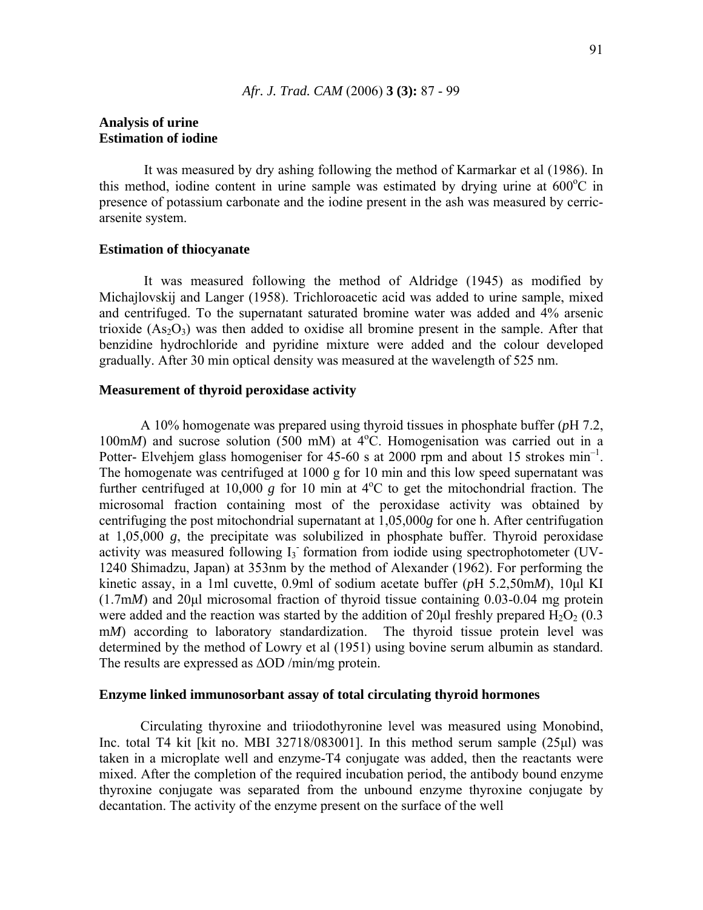## **Analysis of urine Estimation of iodine**

 It was measured by dry ashing following the method of Karmarkar et al (1986). In this method, iodine content in urine sample was estimated by drying urine at 600°C in presence of potassium carbonate and the iodine present in the ash was measured by cerricarsenite system.

#### **Estimation of thiocyanate**

 It was measured following the method of Aldridge (1945) as modified by Michajlovskij and Langer (1958). Trichloroacetic acid was added to urine sample, mixed and centrifuged. To the supernatant saturated bromine water was added and 4% arsenic trioxide  $(As<sub>2</sub>O<sub>3</sub>)$  was then added to oxidise all bromine present in the sample. After that benzidine hydrochloride and pyridine mixture were added and the colour developed gradually. After 30 min optical density was measured at the wavelength of 525 nm.

## **Measurement of thyroid peroxidase activity**

A 10% homogenate was prepared using thyroid tissues in phosphate buffer (*p*H 7.2, 100m*M*) and sucrose solution (500 mM) at 4°C. Homogenisation was carried out in a Potter- Elvehjem glass homogeniser for 45-60 s at 2000 rpm and about 15 strokes  $min^{-1}$ . The homogenate was centrifuged at 1000 g for 10 min and this low speed supernatant was further centrifuged at  $10,000$  g for 10 min at  $4^{\circ}$ C to get the mitochondrial fraction. The microsomal fraction containing most of the peroxidase activity was obtained by centrifuging the post mitochondrial supernatant at 1,05,000*g* for one h. After centrifugation at 1,05,000 *g*, the precipitate was solubilized in phosphate buffer. Thyroid peroxidase activity was measured following I<sub>3</sub> formation from iodide using spectrophotometer (UV-1240 Shimadzu, Japan) at 353nm by the method of Alexander (1962). For performing the kinetic assay, in a 1ml cuvette, 0.9ml of sodium acetate buffer (*p*H 5.2,50m*M*), 10µl KI (1.7m*M*) and 20µl microsomal fraction of thyroid tissue containing 0.03-0.04 mg protein were added and the reaction was started by the addition of 20 $\mu$ l freshly prepared H<sub>2</sub>O<sub>2</sub> (0.3) m*M*) according to laboratory standardization. The thyroid tissue protein level was determined by the method of Lowry et al (1951) using bovine serum albumin as standard. The results are expressed as  $\Delta$ OD /min/mg protein.

## **Enzyme linked immunosorbant assay of total circulating thyroid hormones**

Circulating thyroxine and triiodothyronine level was measured using Monobind, Inc. total T4 kit [kit no. MBI 32718/083001]. In this method serum sample (25µl) was taken in a microplate well and enzyme-T4 conjugate was added, then the reactants were mixed. After the completion of the required incubation period, the antibody bound enzyme thyroxine conjugate was separated from the unbound enzyme thyroxine conjugate by decantation. The activity of the enzyme present on the surface of the well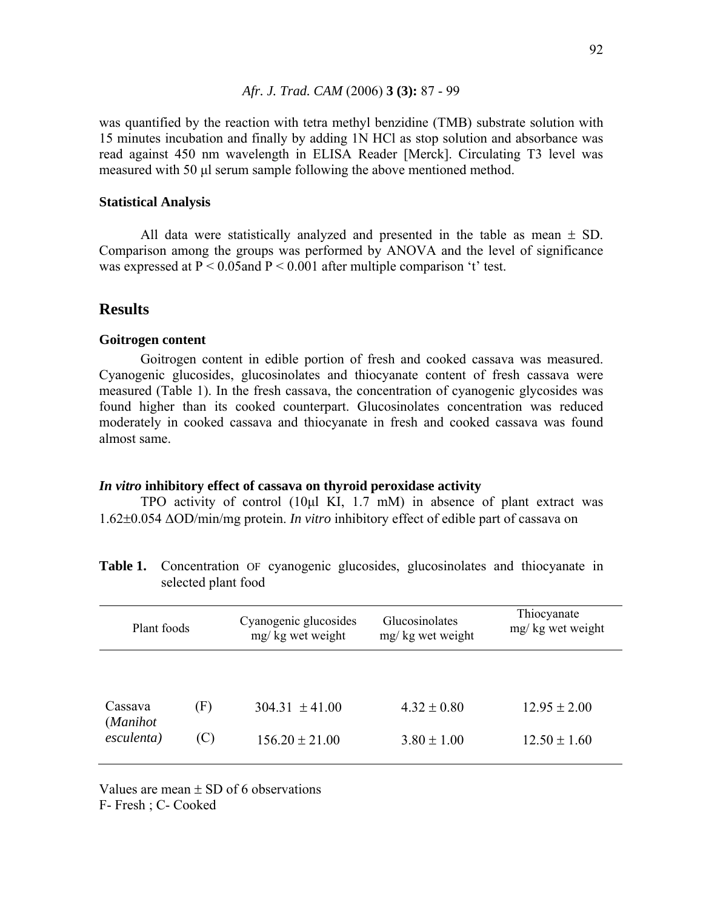was quantified by the reaction with tetra methyl benzidine (TMB) substrate solution with 15 minutes incubation and finally by adding 1N HCl as stop solution and absorbance was read against 450 nm wavelength in ELISA Reader [Merck]. Circulating T3 level was measured with 50 µl serum sample following the above mentioned method.

## **Statistical Analysis**

All data were statistically analyzed and presented in the table as mean  $\pm$  SD. Comparison among the groups was performed by ANOVA and the level of significance was expressed at  $P < 0.05$  and  $P < 0.001$  after multiple comparison 't' test.

# **Results**

## **Goitrogen content**

Goitrogen content in edible portion of fresh and cooked cassava was measured. Cyanogenic glucosides, glucosinolates and thiocyanate content of fresh cassava were measured (Table 1). In the fresh cassava, the concentration of cyanogenic glycosides was found higher than its cooked counterpart. Glucosinolates concentration was reduced moderately in cooked cassava and thiocyanate in fresh and cooked cassava was found almost same.

## *In vitro* **inhibitory effect of cassava on thyroid peroxidase activity**

TPO activity of control (10µl KI, 1.7 mM) in absence of plant extract was 1.62±0.054 ∆OD/min/mg protein. *In vitro* inhibitory effect of edible part of cassava on

| Plant foods            |     | Cyanogenic glucosides<br>mg/kg wet weight | Glucosinolates<br>mg/ kg wet weight | Thiocyanate<br>mg/kg wet weight |  |
|------------------------|-----|-------------------------------------------|-------------------------------------|---------------------------------|--|
| Cassava                | (F) | $304.31 \pm 41.00$                        | $4.32 \pm 0.80$                     | $12.95 \pm 2.00$                |  |
| (Manihot<br>esculenta) |     | $156.20 \pm 21.00$                        | $3.80 \pm 1.00$                     | $12.50 \pm 1.60$                |  |

**Table 1.** Concentration OF cyanogenic glucosides, glucosinolates and thiocyanate in selected plant food

Values are mean  $\pm$  SD of 6 observations F- Fresh ; C- Cooked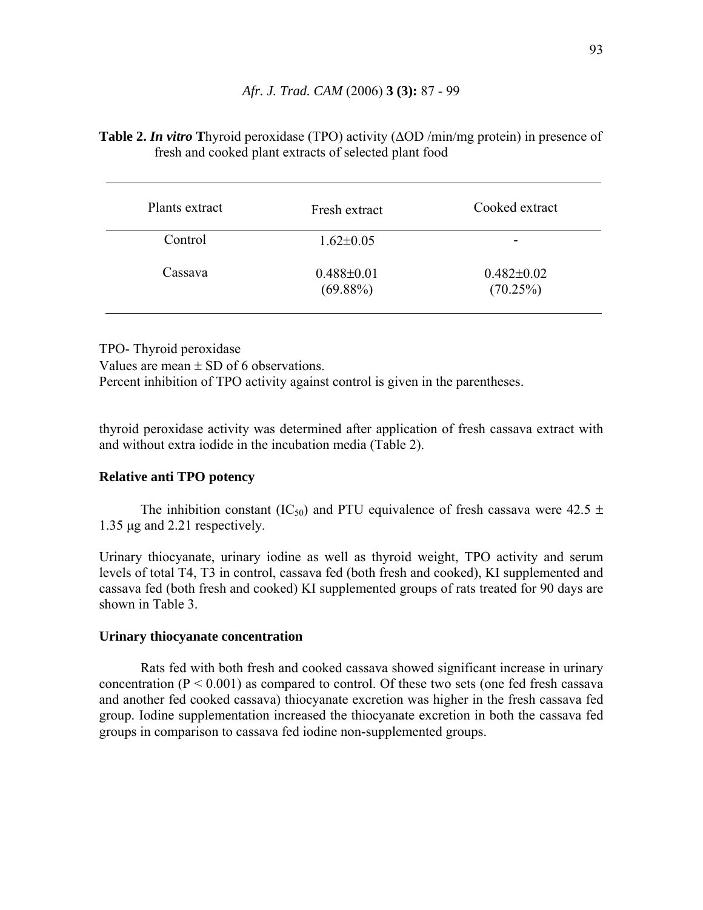## **Table 2.** *In vitro* **T**hyroid peroxidase (TPO) activity (∆OD /min/mg protein) in presence of fresh and cooked plant extracts of selected plant food

| Plants extract | Fresh extract                   | Cooked extract               |
|----------------|---------------------------------|------------------------------|
| Control        | $1.62 \pm 0.05$                 |                              |
| Cassava        | $0.488 \pm 0.01$<br>$(69.88\%)$ | $0.482 \pm 0.02$<br>(70.25%) |

TPO- Thyroid peroxidase Values are mean  $\pm$  SD of 6 observations. Percent inhibition of TPO activity against control is given in the parentheses.

thyroid peroxidase activity was determined after application of fresh cassava extract with and without extra iodide in the incubation media (Table 2).

## **Relative anti TPO potency**

The inhibition constant (IC<sub>50</sub>) and PTU equivalence of fresh cassava were 42.5  $\pm$ 1.35 µg and 2.21 respectively.

Urinary thiocyanate, urinary iodine as well as thyroid weight, TPO activity and serum levels of total T4, T3 in control, cassava fed (both fresh and cooked), KI supplemented and cassava fed (both fresh and cooked) KI supplemented groups of rats treated for 90 days are shown in Table 3.

## **Urinary thiocyanate concentration**

Rats fed with both fresh and cooked cassava showed significant increase in urinary concentration  $(P < 0.001)$  as compared to control. Of these two sets (one fed fresh cassava and another fed cooked cassava) thiocyanate excretion was higher in the fresh cassava fed group. Iodine supplementation increased the thiocyanate excretion in both the cassava fed groups in comparison to cassava fed iodine non-supplemented groups.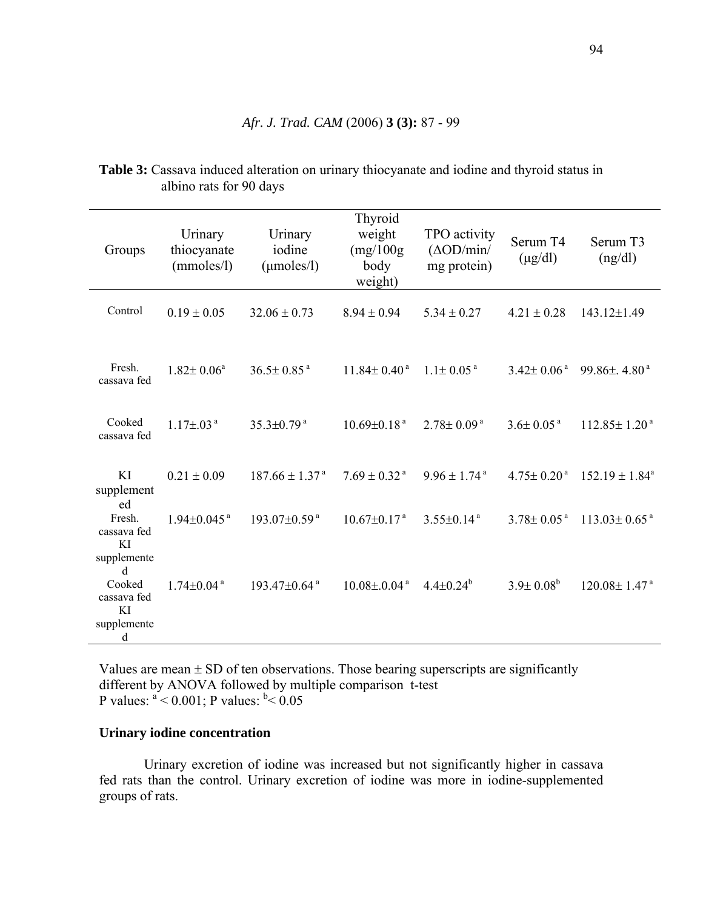| Groups                                          | Urinary<br>thiocyanate<br>(mmoles/l) | Urinary<br>iodine<br>$(\mu$ moles $\lambda$ l) | Thyroid<br>weight<br>(mg/100g)<br>body<br>weight)       | TPO activity<br>$(\Delta OD/min)$<br>mg protein) | Serum T4<br>$(\mu g/dl)$     | Serum T3<br>(ng/dl)                                        |
|-------------------------------------------------|--------------------------------------|------------------------------------------------|---------------------------------------------------------|--------------------------------------------------|------------------------------|------------------------------------------------------------|
| Control                                         | $0.19 \pm 0.05$                      | $32.06 \pm 0.73$                               | $8.94 \pm 0.94$                                         | $5.34 \pm 0.27$                                  | $4.21 \pm 0.28$              | 143.12±1.49                                                |
| Fresh.<br>cassava fed                           | $1.82 \pm 0.06^a$                    | $36.5 \pm 0.85$ <sup>a</sup>                   | $11.84 \pm 0.40^{\text{ a}}$                            | $1.1 \pm 0.05$ <sup>a</sup>                      | $3.42 \pm 0.06$ <sup>a</sup> | 99.86 $\pm$ , 4.80 $^{\circ}$                              |
| Cooked<br>cassava fed                           | $1.17\pm.03^{a}$                     | $35.3 \pm 0.79$ <sup>a</sup>                   | $10.69 \pm 0.18$ <sup>a</sup>                           | $2.78 \pm 0.09^{\text{ a}}$                      | $3.6 \pm 0.05$ <sup>a</sup>  | $112.85 \pm 1.20^{\text{ a}}$                              |
| KI<br>supplement<br>ed                          | $0.21 \pm 0.09$                      | $187.66 \pm 1.37^{\text{a}}$                   | $7.69 \pm 0.32$ <sup>a</sup>                            | $9.96 \pm 1.74$ <sup>a</sup>                     |                              | $4.75 \pm 0.20^{\text{ a}}$ $152.19 \pm 1.84^{\text{ a}}$  |
| Fresh.<br>cassava fed<br>KI<br>supplemente<br>d | $1.94 \pm 0.045$ <sup>a</sup>        | $193.07 \pm 0.59$ <sup>a</sup>                 | $10.67 \pm 0.17$ <sup>a</sup>                           | $3.55 \pm 0.14$ <sup>a</sup>                     |                              | $3.78 \pm 0.05^{\text{ a}}$ 113.03 $\pm$ 0.65 <sup>a</sup> |
| Cooked<br>cassava fed<br>KI<br>supplemente<br>d | $1.74 \pm 0.04$ <sup>a</sup>         | $193.47 \pm 0.64$ <sup>a</sup>                 | $10.08 \pm 0.04^{\text{ a}}$ $4.4 \pm 0.24^{\text{ b}}$ |                                                  | $3.9 \pm 0.08^b$             | $120.08 \pm 1.47$ <sup>a</sup>                             |

**Table 3:** Cassava induced alteration on urinary thiocyanate and iodine and thyroid status in albino rats for 90 days

Values are mean  $\pm$  SD of ten observations. Those bearing superscripts are significantly different by ANOVA followed by multiple comparison t-test P values:  $a < 0.001$ ; P values:  $b < 0.05$ 

## **Urinary iodine concentration**

Urinary excretion of iodine was increased but not significantly higher in cassava fed rats than the control. Urinary excretion of iodine was more in iodine-supplemented groups of rats.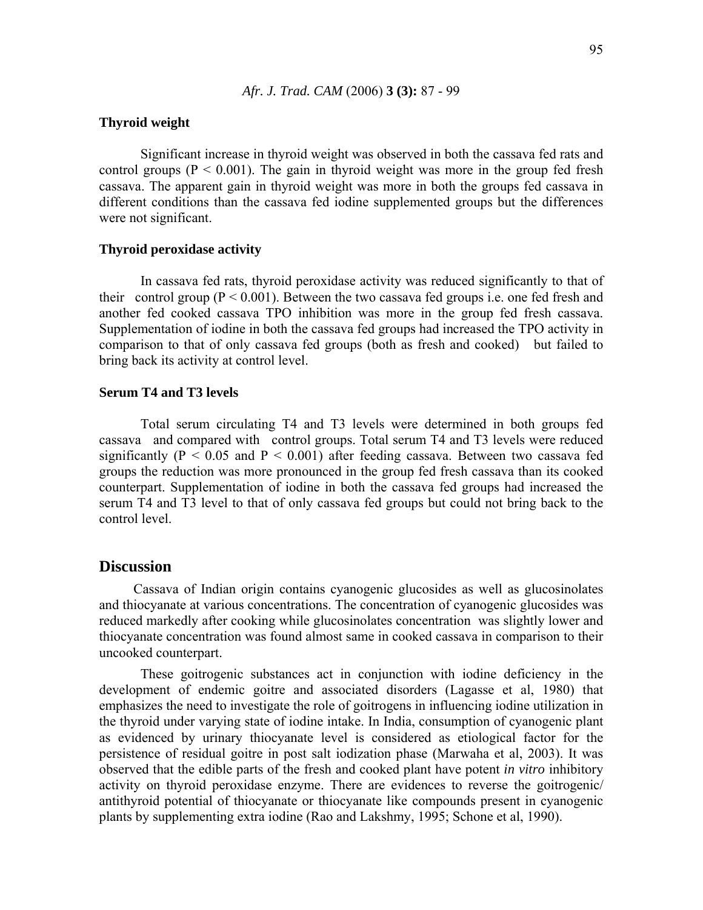## **Thyroid weight**

Significant increase in thyroid weight was observed in both the cassava fed rats and control groups ( $P < 0.001$ ). The gain in thyroid weight was more in the group fed fresh cassava. The apparent gain in thyroid weight was more in both the groups fed cassava in different conditions than the cassava fed iodine supplemented groups but the differences were not significant.

## **Thyroid peroxidase activity**

 In cassava fed rats, thyroid peroxidase activity was reduced significantly to that of their control group ( $P \le 0.001$ ). Between the two cassava fed groups i.e. one fed fresh and another fed cooked cassava TPO inhibition was more in the group fed fresh cassava. Supplementation of iodine in both the cassava fed groups had increased the TPO activity in comparison to that of only cassava fed groups (both as fresh and cooked) but failed to bring back its activity at control level.

## **Serum T4 and T3 levels**

Total serum circulating T4 and T3 levels were determined in both groups fed cassava and compared with control groups. Total serum T4 and T3 levels were reduced significantly ( $P < 0.05$  and  $P < 0.001$ ) after feeding cassava. Between two cassava fed groups the reduction was more pronounced in the group fed fresh cassava than its cooked counterpart. Supplementation of iodine in both the cassava fed groups had increased the serum T4 and T3 level to that of only cassava fed groups but could not bring back to the control level.

## **Discussion**

Cassava of Indian origin contains cyanogenic glucosides as well as glucosinolates and thiocyanate at various concentrations. The concentration of cyanogenic glucosides was reduced markedly after cooking while glucosinolates concentration was slightly lower and thiocyanate concentration was found almost same in cooked cassava in comparison to their uncooked counterpart.

These goitrogenic substances act in conjunction with iodine deficiency in the development of endemic goitre and associated disorders (Lagasse et al, 1980) that emphasizes the need to investigate the role of goitrogens in influencing iodine utilization in the thyroid under varying state of iodine intake. In India, consumption of cyanogenic plant as evidenced by urinary thiocyanate level is considered as etiological factor for the persistence of residual goitre in post salt iodization phase (Marwaha et al, 2003). It was observed that the edible parts of the fresh and cooked plant have potent *in vitro* inhibitory activity on thyroid peroxidase enzyme. There are evidences to reverse the goitrogenic/ antithyroid potential of thiocyanate or thiocyanate like compounds present in cyanogenic plants by supplementing extra iodine (Rao and Lakshmy, 1995; Schone et al, 1990).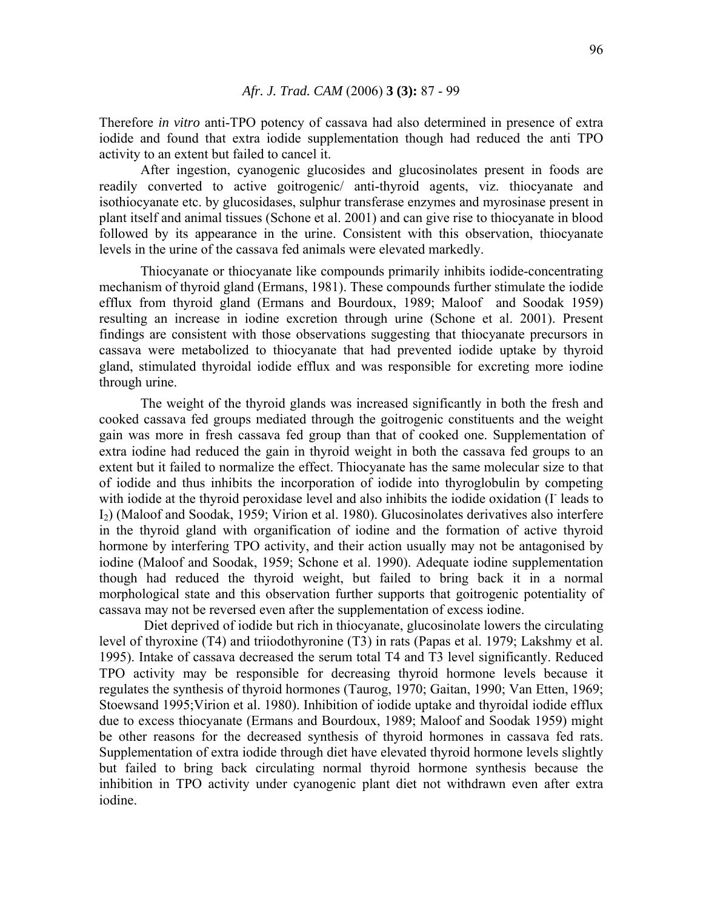Therefore *in vitro* anti-TPO potency of cassava had also determined in presence of extra iodide and found that extra iodide supplementation though had reduced the anti TPO activity to an extent but failed to cancel it.

 After ingestion, cyanogenic glucosides and glucosinolates present in foods are readily converted to active goitrogenic/ anti-thyroid agents, viz. thiocyanate and isothiocyanate etc. by glucosidases, sulphur transferase enzymes and myrosinase present in plant itself and animal tissues (Schone et al. 2001) and can give rise to thiocyanate in blood followed by its appearance in the urine. Consistent with this observation, thiocyanate levels in the urine of the cassava fed animals were elevated markedly.

Thiocyanate or thiocyanate like compounds primarily inhibits iodide-concentrating mechanism of thyroid gland (Ermans, 1981). These compounds further stimulate the iodide efflux from thyroid gland (Ermans and Bourdoux, 1989; Maloof and Soodak 1959) resulting an increase in iodine excretion through urine (Schone et al. 2001). Present findings are consistent with those observations suggesting that thiocyanate precursors in cassava were metabolized to thiocyanate that had prevented iodide uptake by thyroid gland, stimulated thyroidal iodide efflux and was responsible for excreting more iodine through urine.

The weight of the thyroid glands was increased significantly in both the fresh and cooked cassava fed groups mediated through the goitrogenic constituents and the weight gain was more in fresh cassava fed group than that of cooked one. Supplementation of extra iodine had reduced the gain in thyroid weight in both the cassava fed groups to an extent but it failed to normalize the effect. Thiocyanate has the same molecular size to that of iodide and thus inhibits the incorporation of iodide into thyroglobulin by competing with iodide at the thyroid peroxidase level and also inhibits the iodide oxidation (I leads to I2) (Maloof and Soodak, 1959; Virion et al. 1980). Glucosinolates derivatives also interfere in the thyroid gland with organification of iodine and the formation of active thyroid hormone by interfering TPO activity, and their action usually may not be antagonised by iodine (Maloof and Soodak, 1959; Schone et al. 1990). Adequate iodine supplementation though had reduced the thyroid weight, but failed to bring back it in a normal morphological state and this observation further supports that goitrogenic potentiality of cassava may not be reversed even after the supplementation of excess iodine.

 Diet deprived of iodide but rich in thiocyanate, glucosinolate lowers the circulating level of thyroxine (T4) and triiodothyronine (T3) in rats (Papas et al. 1979; Lakshmy et al. 1995). Intake of cassava decreased the serum total T4 and T3 level significantly. Reduced TPO activity may be responsible for decreasing thyroid hormone levels because it regulates the synthesis of thyroid hormones (Taurog, 1970; Gaitan, 1990; Van Etten, 1969; Stoewsand 1995;Virion et al. 1980). Inhibition of iodide uptake and thyroidal iodide efflux due to excess thiocyanate (Ermans and Bourdoux, 1989; Maloof and Soodak 1959) might be other reasons for the decreased synthesis of thyroid hormones in cassava fed rats. Supplementation of extra iodide through diet have elevated thyroid hormone levels slightly but failed to bring back circulating normal thyroid hormone synthesis because the inhibition in TPO activity under cyanogenic plant diet not withdrawn even after extra iodine.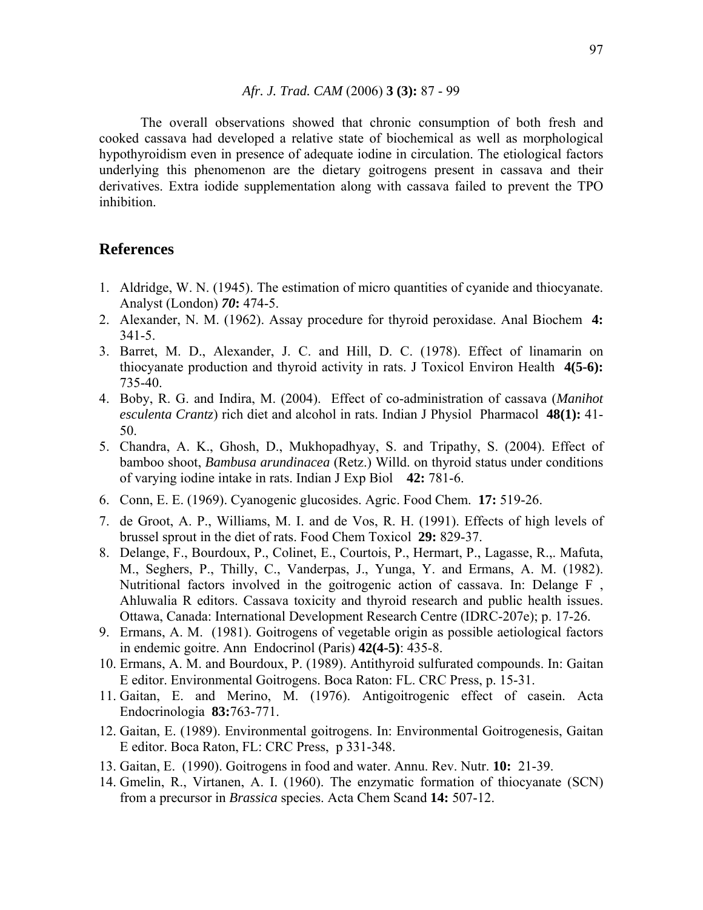The overall observations showed that chronic consumption of both fresh and cooked cassava had developed a relative state of biochemical as well as morphological hypothyroidism even in presence of adequate iodine in circulation. The etiological factors underlying this phenomenon are the dietary goitrogens present in cassava and their derivatives. Extra iodide supplementation along with cassava failed to prevent the TPO inhibition.

# **References**

- 1. Aldridge, W. N. (1945). The estimation of micro quantities of cyanide and thiocyanate. Analyst (London) *70***:** 474-5.
- 2. Alexander, N. M. (1962). Assay procedure for thyroid peroxidase. Anal Biochem **4:** 341-5.
- 3. Barret, M. D., Alexander, J. C. and Hill, D. C. (1978). Effect of linamarin on thiocyanate production and thyroid activity in rats. J Toxicol Environ Health **4(5-6):** 735-40.
- 4. Boby, R. G. and Indira, M. (2004). Effect of co-administration of cassava (*Manihot esculenta Crantz*) rich diet and alcohol in rats. Indian J Physiol Pharmacol **48(1):** 41- 50.
- 5. Chandra, A. K., Ghosh, D., Mukhopadhyay, S. and Tripathy, S. (2004). Effect of bamboo shoot, *Bambusa arundinacea* (Retz.) Willd. on thyroid status under conditions of varying iodine intake in rats. Indian J Exp Biol **42:** 781-6.
- 6. Conn, E. E. (1969). Cyanogenic glucosides. Agric. Food Chem. **17:** 519-26.
- 7. de Groot, A. P., Williams, M. I. and de Vos, R. H. (1991). Effects of high levels of brussel sprout in the diet of rats. Food Chem Toxicol **29:** 829-37.
- 8. Delange, F., Bourdoux, P., Colinet, E., Courtois, P., Hermart, P., Lagasse, R.,. Mafuta, M., Seghers, P., Thilly, C., Vanderpas, J., Yunga, Y. and Ermans, A. M. (1982). Nutritional factors involved in the goitrogenic action of cassava. In: Delange F , Ahluwalia R editors. Cassava toxicity and thyroid research and public health issues. Ottawa, Canada: International Development Research Centre (IDRC-207e); p. 17-26.
- 9. Ermans, A. M. (1981). Goitrogens of vegetable origin as possible aetiological factors in endemic goitre. Ann Endocrinol (Paris) **42(4-5)**: 435-8.
- 10. Ermans, A. M. and Bourdoux, P. (1989). Antithyroid sulfurated compounds. In: Gaitan E editor. Environmental Goitrogens. Boca Raton: FL. CRC Press, p. 15-31.
- 11. Gaitan, E. and Merino, M. (1976). Antigoitrogenic effect of casein. Acta Endocrinologia **83:**763-771.
- 12. Gaitan, E. (1989). Environmental goitrogens. In: Environmental Goitrogenesis, Gaitan E editor. Boca Raton, FL: CRC Press, p 331-348.
- 13. Gaitan, E. (1990). Goitrogens in food and water. Annu. Rev. Nutr. **10:** 21-39.
- 14. Gmelin, R., Virtanen, A. I. (1960). The enzymatic formation of thiocyanate (SCN) from a precursor in *Brassica* species. Acta Chem Scand **14:** 507-12.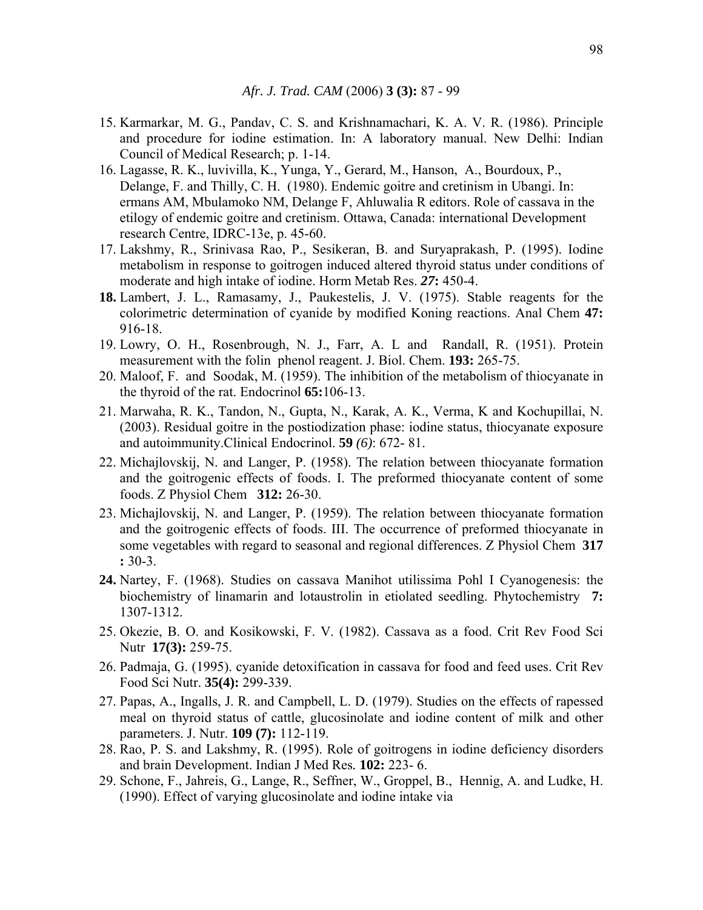- 15. Karmarkar, M. G., Pandav, C. S. and Krishnamachari, K. A. V. R. (1986). Principle and procedure for iodine estimation. In: A laboratory manual. New Delhi: Indian Council of Medical Research; p. 1-14.
- 16. Lagasse, R. K., luvivilla, K., Yunga, Y., Gerard, M., Hanson, A., Bourdoux, P., Delange, F. and Thilly, C. H. (1980). Endemic goitre and cretinism in Ubangi. In: ermans AM, Mbulamoko NM, Delange F, Ahluwalia R editors. Role of cassava in the etilogy of endemic goitre and cretinism. Ottawa, Canada: international Development research Centre, IDRC-13e, p. 45-60.
- 17. Lakshmy, R., Srinivasa Rao, P., Sesikeran, B. and Suryaprakash, P. (1995). Iodine metabolism in response to goitrogen induced altered thyroid status under conditions of moderate and high intake of iodine. Horm Metab Res. *27***:** 450-4.
- **18.** Lambert, J. L., Ramasamy, J., Paukestelis, J. V. (1975). Stable reagents for the colorimetric determination of cyanide by modified Koning reactions. Anal Chem **47:** 916-18.
- 19. Lowry, O. H., Rosenbrough, N. J., Farr, A. L and Randall, R. (1951). Protein measurement with the folin phenol reagent. J. Biol. Chem. **193:** 265-75.
- 20. Maloof, F. and Soodak, M. (1959). The inhibition of the metabolism of thiocyanate in the thyroid of the rat. Endocrinol **65:**106-13.
- 21. Marwaha, R. K., Tandon, N., Gupta, N., Karak, A. K., Verma, K and Kochupillai, N. (2003). Residual goitre in the postiodization phase: iodine status, thiocyanate exposure and autoimmunity.Clinical Endocrinol. **59** *(6)*: 672- 81.
- 22. Michajlovskij, N. and Langer, P. (1958). The relation between thiocyanate formation and the goitrogenic effects of foods. I. The preformed thiocyanate content of some foods. Z Physiol Chem **312:** 26-30.
- 23. Michajlovskij, N. and Langer, P. (1959). The relation between thiocyanate formation and the goitrogenic effects of foods. III. The occurrence of preformed thiocyanate in some vegetables with regard to seasonal and regional differences. Z Physiol Chem **317 :** 30-3.
- **24.** Nartey, F. (1968). Studies on cassava Manihot utilissima Pohl I Cyanogenesis: the biochemistry of linamarin and lotaustrolin in etiolated seedling. Phytochemistry **7:**  1307-1312.
- 25. Okezie, B. O. and Kosikowski, F. V. (1982). Cassava as a food. Crit Rev Food Sci Nutr **17(3):** 259-75.
- 26. Padmaja, G. (1995). cyanide detoxification in cassava for food and feed uses. Crit Rev Food Sci Nutr. **35(4):** 299-339.
- 27. Papas, A., Ingalls, J. R. and Campbell, L. D. (1979). Studies on the effects of rapessed meal on thyroid status of cattle, glucosinolate and iodine content of milk and other parameters. J. Nutr. **109 (7):** 112-119.
- 28. Rao, P. S. and Lakshmy, R. (1995). Role of goitrogens in iodine deficiency disorders and brain Development. Indian J Med Res*.* **102:** 223- 6.
- 29. Schone, F., Jahreis, G., Lange, R., Seffner, W., Groppel, B., Hennig, A. and Ludke, H. (1990). Effect of varying glucosinolate and iodine intake via